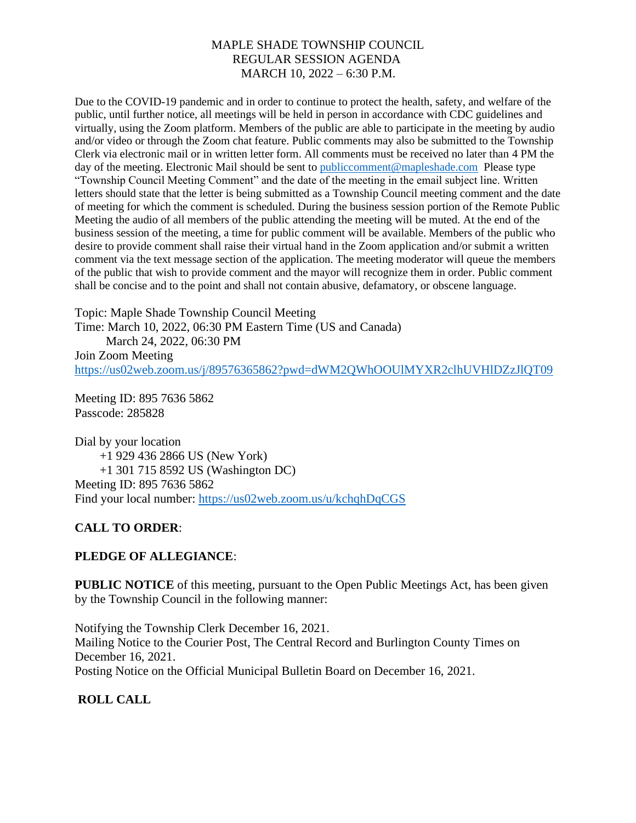Due to the COVID-19 pandemic and in order to continue to protect the health, safety, and welfare of the public, until further notice, all meetings will be held in person in accordance with CDC guidelines and virtually, using the Zoom platform. Members of the public are able to participate in the meeting by audio and/or video or through the Zoom chat feature. Public comments may also be submitted to the Township Clerk via electronic mail or in written letter form. All comments must be received no later than 4 PM the day of the meeting. Electronic Mail should be sent to [publiccomment@mapleshade.com](mailto:publiccomment@mapleshade.com) Please type "Township Council Meeting Comment" and the date of the meeting in the email subject line. Written letters should state that the letter is being submitted as a Township Council meeting comment and the date of meeting for which the comment is scheduled. During the business session portion of the Remote Public Meeting the audio of all members of the public attending the meeting will be muted. At the end of the business session of the meeting, a time for public comment will be available. Members of the public who desire to provide comment shall raise their virtual hand in the Zoom application and/or submit a written comment via the text message section of the application. The meeting moderator will queue the members of the public that wish to provide comment and the mayor will recognize them in order. Public comment shall be concise and to the point and shall not contain abusive, defamatory, or obscene language.

Topic: Maple Shade Township Council Meeting

Time: March 10, 2022, 06:30 PM Eastern Time (US and Canada)

 March 24, 2022, 06:30 PM Join Zoom Meeting <https://us02web.zoom.us/j/89576365862?pwd=dWM2QWhOOUlMYXR2clhUVHlDZzJlQT09>

Meeting ID: 895 7636 5862 Passcode: 285828

Dial by your location +1 929 436 2866 US (New York) +1 301 715 8592 US (Washington DC) Meeting ID: 895 7636 5862 Find your local number:<https://us02web.zoom.us/u/kchqhDqCGS>

# **CALL TO ORDER**:

### **PLEDGE OF ALLEGIANCE**:

**PUBLIC NOTICE** of this meeting, pursuant to the Open Public Meetings Act, has been given by the Township Council in the following manner:

Notifying the Township Clerk December 16, 2021. Mailing Notice to the Courier Post, The Central Record and Burlington County Times on December 16, 2021. Posting Notice on the Official Municipal Bulletin Board on December 16, 2021.

### **ROLL CALL**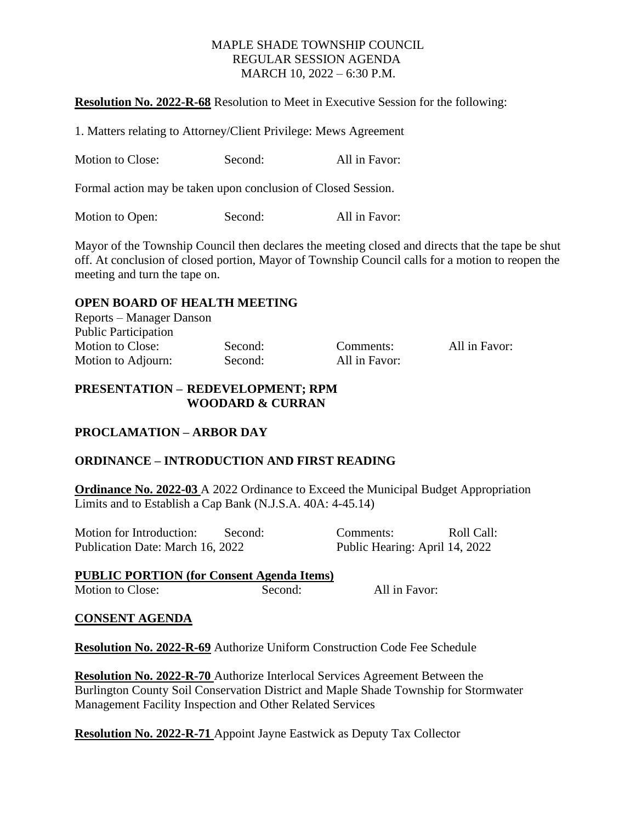**Resolution No. 2022-R-68** Resolution to Meet in Executive Session for the following:

1. Matters relating to Attorney/Client Privilege: Mews Agreement

Motion to Close: Second: All in Favor:

Formal action may be taken upon conclusion of Closed Session.

Motion to Open: Second: All in Favor:

Mayor of the Township Council then declares the meeting closed and directs that the tape be shut off. At conclusion of closed portion, Mayor of Township Council calls for a motion to reopen the meeting and turn the tape on.

#### **OPEN BOARD OF HEALTH MEETING**

| Reports – Manager Danson    |         |               |               |
|-----------------------------|---------|---------------|---------------|
| <b>Public Participation</b> |         |               |               |
| Motion to Close:            | Second: | Comments:     | All in Favor: |
| Motion to Adjourn:          | Second: | All in Favor: |               |

#### **PRESENTATION – REDEVELOPMENT; RPM WOODARD & CURRAN**

### **PROCLAMATION – ARBOR DAY**

### **ORDINANCE – INTRODUCTION AND FIRST READING**

**Ordinance No. 2022-03** A 2022 Ordinance to Exceed the Municipal Budget Appropriation Limits and to Establish a Cap Bank (N.J.S.A. 40A: 4-45.14)

| Motion for Introduction:         | Second: | Comments:                      | Roll Call: |
|----------------------------------|---------|--------------------------------|------------|
| Publication Date: March 16, 2022 |         | Public Hearing: April 14, 2022 |            |

**PUBLIC PORTION (for Consent Agenda Items)** Motion to Close: Second: All in Favor:

#### **CONSENT AGENDA**

**Resolution No. 2022-R-69** Authorize Uniform Construction Code Fee Schedule

**Resolution No. 2022-R-70** Authorize Interlocal Services Agreement Between the Burlington County Soil Conservation District and Maple Shade Township for Stormwater Management Facility Inspection and Other Related Services

**Resolution No. 2022-R-71** Appoint Jayne Eastwick as Deputy Tax Collector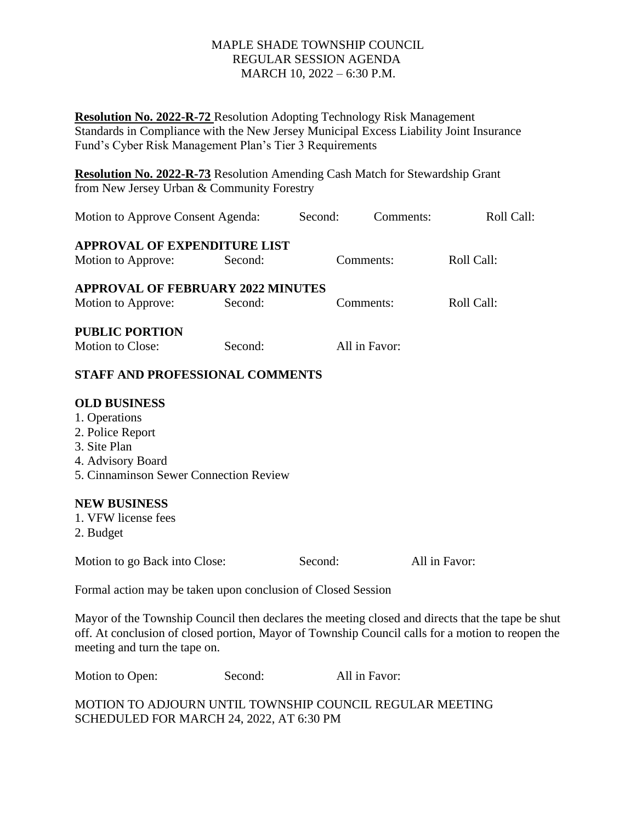**Resolution No. 2022-R-72** Resolution Adopting Technology Risk Management Standards in Compliance with the New Jersey Municipal Excess Liability Joint Insurance Fund's Cyber Risk Management Plan's Tier 3 Requirements

**Resolution No. 2022-R-73** Resolution Amending Cash Match for Stewardship Grant from New Jersey Urban & Community Forestry

| Motion to Approve Consent Agenda:        |         | Second: |               | Comments: | Roll Call: |
|------------------------------------------|---------|---------|---------------|-----------|------------|
| <b>APPROVAL OF EXPENDITURE LIST</b>      |         |         |               |           |            |
| Motion to Approve:                       | Second: |         | Comments:     |           | Roll Call: |
| <b>APPROVAL OF FEBRUARY 2022 MINUTES</b> |         |         |               |           |            |
| Motion to Approve:                       | Second: |         | Comments:     |           | Roll Call: |
| <b>PUBLIC PORTION</b>                    |         |         |               |           |            |
| Motion to Close:                         | Second: |         | All in Favor: |           |            |
| <b>STAFF AND PROFESSIONAL COMMENTS</b>   |         |         |               |           |            |
| <b>OLD BUSINESS</b>                      |         |         |               |           |            |
| 1. Operations                            |         |         |               |           |            |
| 2. Police Report                         |         |         |               |           |            |
| 3. Site Plan                             |         |         |               |           |            |
| 4. Advisory Board                        |         |         |               |           |            |
| 5. Cinnaminson Sewer Connection Review   |         |         |               |           |            |

#### **NEW BUSINESS**

- 1. VFW license fees
- 2. Budget

Motion to go Back into Close: Second: All in Favor:

Formal action may be taken upon conclusion of Closed Session

Mayor of the Township Council then declares the meeting closed and directs that the tape be shut off. At conclusion of closed portion, Mayor of Township Council calls for a motion to reopen the meeting and turn the tape on.

| Motion to Open: | Second: | All in Favor: |
|-----------------|---------|---------------|
|-----------------|---------|---------------|

MOTION TO ADJOURN UNTIL TOWNSHIP COUNCIL REGULAR MEETING SCHEDULED FOR MARCH 24, 2022, AT 6:30 PM